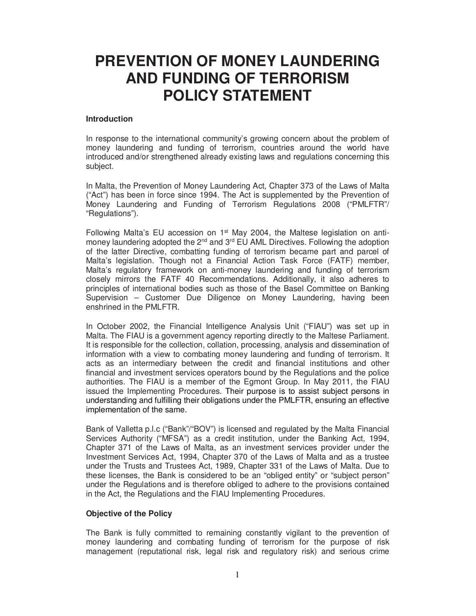# **PREVENTION OF MONEY LAUNDERING AND FUNDING OF TERRORISM POLICY STATEMENT**

### **Introduction**

In response to the international community's growing concern about the problem of money laundering and funding of terrorism, countries around the world have introduced and/or strengthened already existing laws and regulations concerning this subject.

In Malta, the Prevention of Money Laundering Act, Chapter 373 of the Laws of Malta ("Act") has been in force since 1994. The Act is supplemented by the Prevention of Money Laundering and Funding of Terrorism Regulations 2008 ("PMLFTR"/ "Regulations").

Following Malta's EU accession on  $1<sup>st</sup>$  May 2004, the Maltese legislation on antimoney laundering adopted the 2<sup>nd</sup> and 3<sup>rd</sup> EU AML Directives. Following the adoption of the latter Directive, combatting funding of terrorism became part and parcel of Malta's legislation. Though not a Financial Action Task Force (FATF) member, Malta's regulatory framework on anti-money laundering and funding of terrorism closely mirrors the FATF 40 Recommendations. Additionally, it also adheres to principles of international bodies such as those of the Basel Committee on Banking Supervision – Customer Due Diligence on Money Laundering, having been enshrined in the PMLFTR.

In October 2002, the Financial Intelligence Analysis Unit ("FIAU") was set up in Malta. The FIAU is a government agency reporting directly to the Maltese Parliament. It is responsible for the collection, collation, processing, analysis and dissemination of information with a view to combating money laundering and funding of terrorism. It acts as an intermediary between the credit and financial institutions and other financial and investment services operators bound by the Regulations and the police authorities. The FIAU is a member of the Egmont Group. In May 2011, the FIAU issued the Implementing Procedures. Their purpose is to assist subject persons in understanding and fulfilling their obligations under the PMLFTR, ensuring an effective implementation of the same.

Bank of Valletta p.l.c ("Bank"/"BOV") is licensed and regulated by the Malta Financial Services Authority ("MFSA") as a credit institution, under the Banking Act, 1994, Chapter 371 of the Laws of Malta, as an investment services provider under the Investment Services Act, 1994, Chapter 370 of the Laws of Malta and as a trustee under the Trusts and Trustees Act, 1989, Chapter 331 of the Laws of Malta. Due to these licenses, the Bank is considered to be an "obliged entity" or "subject person" under the Regulations and is therefore obliged to adhere to the provisions contained in the Act, the Regulations and the FIAU Implementing Procedures.

# **Objective of the Policy**

The Bank is fully committed to remaining constantly vigilant to the prevention of money laundering and combating funding of terrorism for the purpose of risk management (reputational risk, legal risk and regulatory risk) and serious crime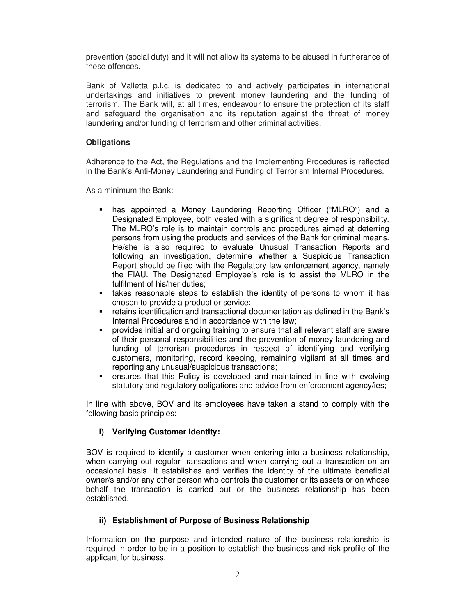prevention (social duty) and it will not allow its systems to be abused in furtherance of these offences.

Bank of Valletta p.l.c. is dedicated to and actively participates in international undertakings and initiatives to prevent money laundering and the funding of terrorism. The Bank will, at all times, endeavour to ensure the protection of its staff and safeguard the organisation and its reputation against the threat of money laundering and/or funding of terrorism and other criminal activities.

# **Obligations**

Adherence to the Act, the Regulations and the Implementing Procedures is reflected in the Bank's Anti-Money Laundering and Funding of Terrorism Internal Procedures.

As a minimum the Bank:

- has appointed a Money Laundering Reporting Officer ("MLRO") and a Designated Employee, both vested with a significant degree of responsibility. The MLRO's role is to maintain controls and procedures aimed at deterring persons from using the products and services of the Bank for criminal means. He/she is also required to evaluate Unusual Transaction Reports and following an investigation, determine whether a Suspicious Transaction Report should be filed with the Regulatory law enforcement agency, namely the FIAU. The Designated Employee's role is to assist the MLRO in the fulfilment of his/her duties;
- **\*** takes reasonable steps to establish the identity of persons to whom it has chosen to provide a product or service;
- retains identification and transactional documentation as defined in the Bank's Internal Procedures and in accordance with the law;
- provides initial and ongoing training to ensure that all relevant staff are aware of their personal responsibilities and the prevention of money laundering and funding of terrorism procedures in respect of identifying and verifying customers, monitoring, record keeping, remaining vigilant at all times and reporting any unusual/suspicious transactions;
- ensures that this Policy is developed and maintained in line with evolving statutory and regulatory obligations and advice from enforcement agency/ies;

In line with above, BOV and its employees have taken a stand to comply with the following basic principles:

# **i) Verifying Customer Identity:**

BOV is required to identify a customer when entering into a business relationship, when carrying out regular transactions and when carrying out a transaction on an occasional basis. It establishes and verifies the identity of the ultimate beneficial owner/s and/or any other person who controls the customer or its assets or on whose behalf the transaction is carried out or the business relationship has been established.

#### **ii) Establishment of Purpose of Business Relationship**

Information on the purpose and intended nature of the business relationship is required in order to be in a position to establish the business and risk profile of the applicant for business.